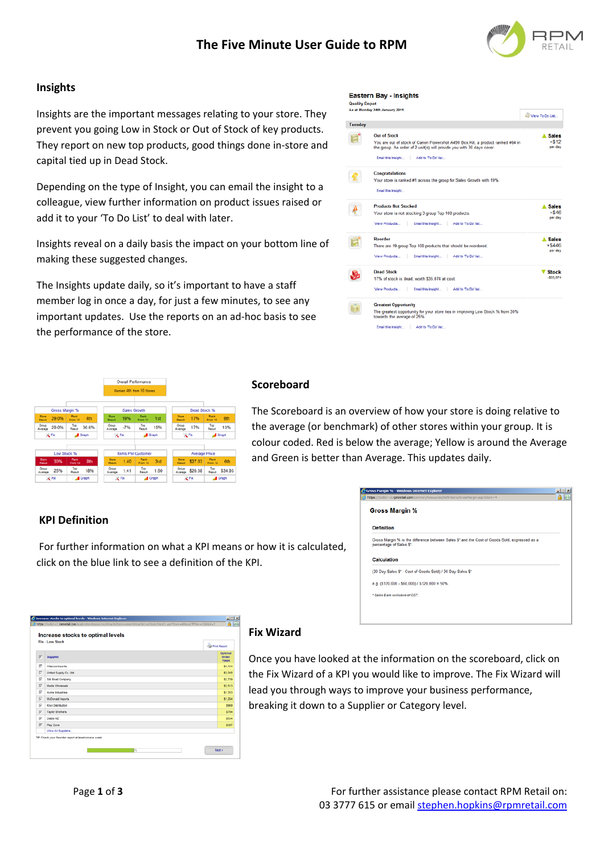

# **Insights**

Insights are the important messages relating to your store. They prevent you going Low in Stock or Out of Stock of key products. They report on new top products, good things done in‐store and capital tied up in Dead Stock.

Depending on the type of Insight, you can email the insight to a colleague, view further information on product issues raised or add it to your 'To Do List' to deal with later.

Insights reveal on a daily basis the impact on your bottom line of making these suggested changes.

The Insights update daily, so it's important to have a staff member log in once a day, for just a few minutes, to see any important updates. Use the reports on an ad-hoc basis to see the performance of the store.

#### Eastern Bay - Insights

**Quality Dep** 

|         | As at Monday 24th January 2011                                                                                                                                                                                             | View To Do List                    |
|---------|----------------------------------------------------------------------------------------------------------------------------------------------------------------------------------------------------------------------------|------------------------------------|
| Tuesday |                                                                                                                                                                                                                            |                                    |
|         | <b>Out of Stock</b><br>You are out of stock of Canon Powershot A490 Box Kit, a product ranked #84 in<br>the group. An order of 2 unit(s) will provide you with 30 days cover.<br>Email this insight<br>Add to 'To Do' list | <b>Sales</b><br>$+ $12$<br>per day |
|         | <b>Congratulations</b><br>Your store is ranked #1 across the group for Sales Growth with 19%.<br>Email this Insight                                                                                                        |                                    |
|         | <b>Products Not Stocked</b><br>Your store is not stocking 3 group Top 100 products.<br>View Products   Email this Insight   Add to To Do' list                                                                             | <b>Sales</b><br>$+ $46$<br>per day |
|         | Reorder<br>There are 19 group Top 100 products that should be reordered.<br>Email this insight<br>View Products<br>Add to 'To Do' list                                                                                     | A Sales<br>$+ $446$<br>per day     |
|         | <b>Dead Stock</b><br>17% of stock is dead, worth \$35,074 at cost.<br>Email this Insight Add to 'To Do' list<br>View Products                                                                                              | <b>Stock</b><br>$-535,074$         |
|         | <b>Greatest Opportunity</b><br>The greatest opportunity for your store lies in improving Low Stock % from 30%<br>towards the average of 25%.<br>Add to 'To Do' list<br>Email this insight                                  |                                    |



#### **Scoreboard**

The Scoreboard is an overview of how your store is doing relative to the average (or benchmark) of other stores within your group. It is colour coded. Red is below the average; Yellow is around the Average and Green is better than Average. This updates daily.

## **KPI Definition**

For further information on what a KPI means or how it is calculated, click on the blue link to see a definition of the KPI.

| Gross Margin %                                             |                                                                                               |  |
|------------------------------------------------------------|-----------------------------------------------------------------------------------------------|--|
| <b>Definition</b>                                          |                                                                                               |  |
| percentage of Sales S'.                                    | Gross Margin % is the difference between Sales \$" and the Cost of Goods Sold, expressed as a |  |
| <b>Calculation</b>                                         |                                                                                               |  |
| (30 Day Sales \$* - Cost of Goods Sold) / 30 Day Sales \$* |                                                                                               |  |
| e.g. $(5120,000 - 560,000)$ / $5120,000 = 50\%$ .          |                                                                                               |  |
|                                                            |                                                                                               |  |

 $-10x$ 

|          | <b>Fix - Low Stock</b>  | <b>Ca Print Report</b>           |  |
|----------|-------------------------|----------------------------------|--|
| π        | <b>Supplier</b>         | Optimal<br>Order<br><b>Value</b> |  |
| σ        | Aliance Imports         | \$4.154                          |  |
| ы        | United Supply Co. Ltd.  | \$3,340                          |  |
| ⊽        | Sik Road Company        | \$2,739                          |  |
| R        | Media Wholesale         | \$2.513                          |  |
| π        | Acme Industries         | \$1,353                          |  |
| π        | <b>McDonald Imports</b> | \$1,284                          |  |
| π        | Kiwi Distribution       | \$969                            |  |
| π        | <b>Taylor Brothers</b>  | \$794                            |  |
| <b>R</b> | Diablo NZ               | \$534                            |  |
| σ        | Play Zone               | \$397                            |  |
|          | View All Supplers       |                                  |  |

## **Fix Wizard**

Once you have looked at the information on the scoreboard, click on the Fix Wizard of a KPI you would like to improve. The Fix Wizard will lead you through ways to improve your business performance, breaking it down to a Supplier or Category level.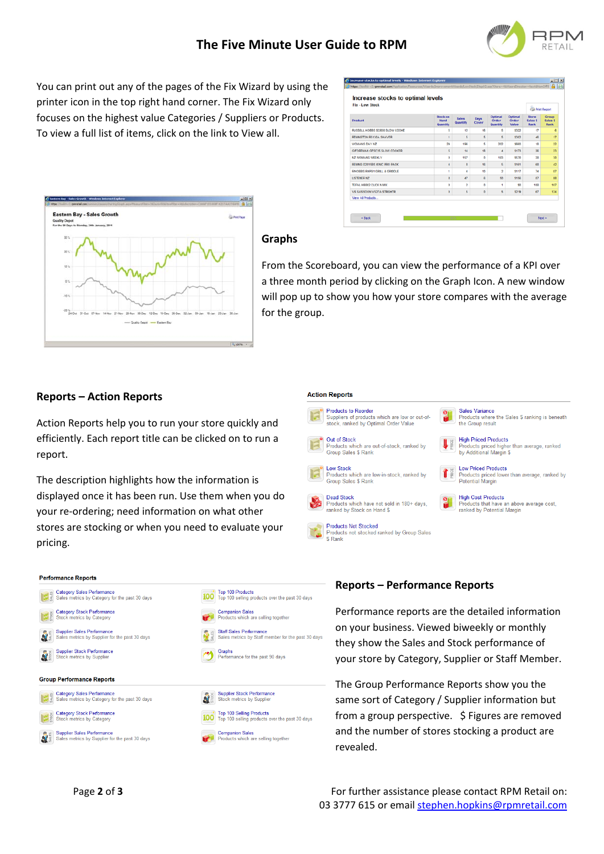

You can print out any of the pages of the Fix Wizard by using the printer icon in the top right hand corner. The Fix Wizard only focuses on the highest value Categories / Suppliers or Products. To view a full list of items, click on the link to View all.

| <b>Fix - Low Stock</b>         |                                            |                          |               |                              |                                  | <b>Call Print Report</b>  |                                  |  |
|--------------------------------|--------------------------------------------|--------------------------|---------------|------------------------------|----------------------------------|---------------------------|----------------------------------|--|
| <b>Product</b>                 | <b>Stock on</b><br><b>Hand</b><br>Quantity | <b>Sales</b><br>Quantity | Days<br>Cover | Optimal<br>Order<br>Quantity | Optimal<br><b>Order</b><br>Value | Store<br>Sales \$<br>Rank | Group<br>Sales \$<br><b>Rank</b> |  |
| RUSSELL HOBBS SOB00 SLOW COOKE | s                                          | 12                       | 16            | s                            | \$322                            | 47                        |                                  |  |
| REMINGTON R5130A SHAVER        | 4                                          | ś                        | š             | š                            | \$302                            | 44                        | 57                               |  |
| WOMANS DAY NZ                  | 29                                         | 198                      | š             | 202                          | \$660                            | 18                        | 22                               |  |
| GIFOREMAN GFSC35 SLOW COOKER   | š.                                         | 14                       | 18            | $\overline{a}$               | \$173                            | 24                        | 23                               |  |
| <b>NZ WOMANS WEEKLY</b>        | ö                                          | 157                      | ٥             | 183                          | \$570                            | 20                        | 38                               |  |
| REMING D2015BS IONIC PRO PACK  | 4                                          | ň                        | tā            | s                            | \$101                            | <b>Git</b>                | 42                               |  |
| RNOBBS RHPG1 GRLL & GRECLE     | ٠                                          | 4                        | 10            | ż                            | \$117                            | 74                        | $\mathbf{r}$                     |  |
| <b>LISTENER NZ</b>             | ň.                                         | 47                       | Ġ             | SD.                          | \$150                            | $\overline{17}$           | m                                |  |
| TEFAL HB802 CLICK N MIX        | o                                          | $\overline{2}$           | ٥             | ٠                            | \$0                              | 103                       | 107                              |  |
| VS SASSOON VS27A STRGHTR       | $\ddot{\mathbf{0}}$                        | s                        | ö             | s                            | \$219                            | 67                        | 124                              |  |
| View All Products              |                                            |                          |               |                              |                                  |                           |                                  |  |



# **Graphs**

**Action Reports** 

**Products to Reorder** 

**Products which are**<br>Group Sales \$ Rank

Group Sales \$ Rank Dead Stock

**Products Not Stocked** 

Out of Stock

**Low Stock** 

Suppliers of products which are low or out-of-

Products which are out-of-stock, ranked by

**EDW STOCK**<br>Products which are low-in-stock, ranked by

Products which have not sold in 180+ days,<br>ranked by Stock on Hand \$

Products Not Stocked<br>Products not stocked ranked by Group Sales<br>\$ Rank

stock, ranked by Optimal Order Value

From the Scoreboard, you can view the performance of a KPI over a three month period by clicking on the Graph Icon. A new window will pop up to show you how your store compares with the average for the group.

# **Reports – Action Reports**

Action Reports help you to run your store quickly and efficiently. Each report title can be clicked on to run a report.

The description highlights how the information is displayed once it has been run. Use them when you do your re‐ordering; need information on what other stores are stocking or when you need to evaluate your pricing.



## **Reports – Performance Reports**

Performance reports are the detailed information on your business. Viewed biweekly or monthly they show the Sales and Stock performance of your store by Category, Supplier or Staff Member.

Sales Variance

the Group result **High Priced Products** 

**Low Priced Products** 

**High Cost Products** 

Products that have an above<br>ranked by Potential Margin

Products where the Sales \$ ranking is beneath

Products priced higher than average, ranked<br>by Additional Margin \$

Low Priced Products<br>Products priced lower than average, ranked by<br>Potential Margin

,<br>an above average cost,

The Group Performance Reports show you the same sort of Category / Supplier information but from a group perspective. \$ Figures are removed and the number of stores stocking a product are revealed.